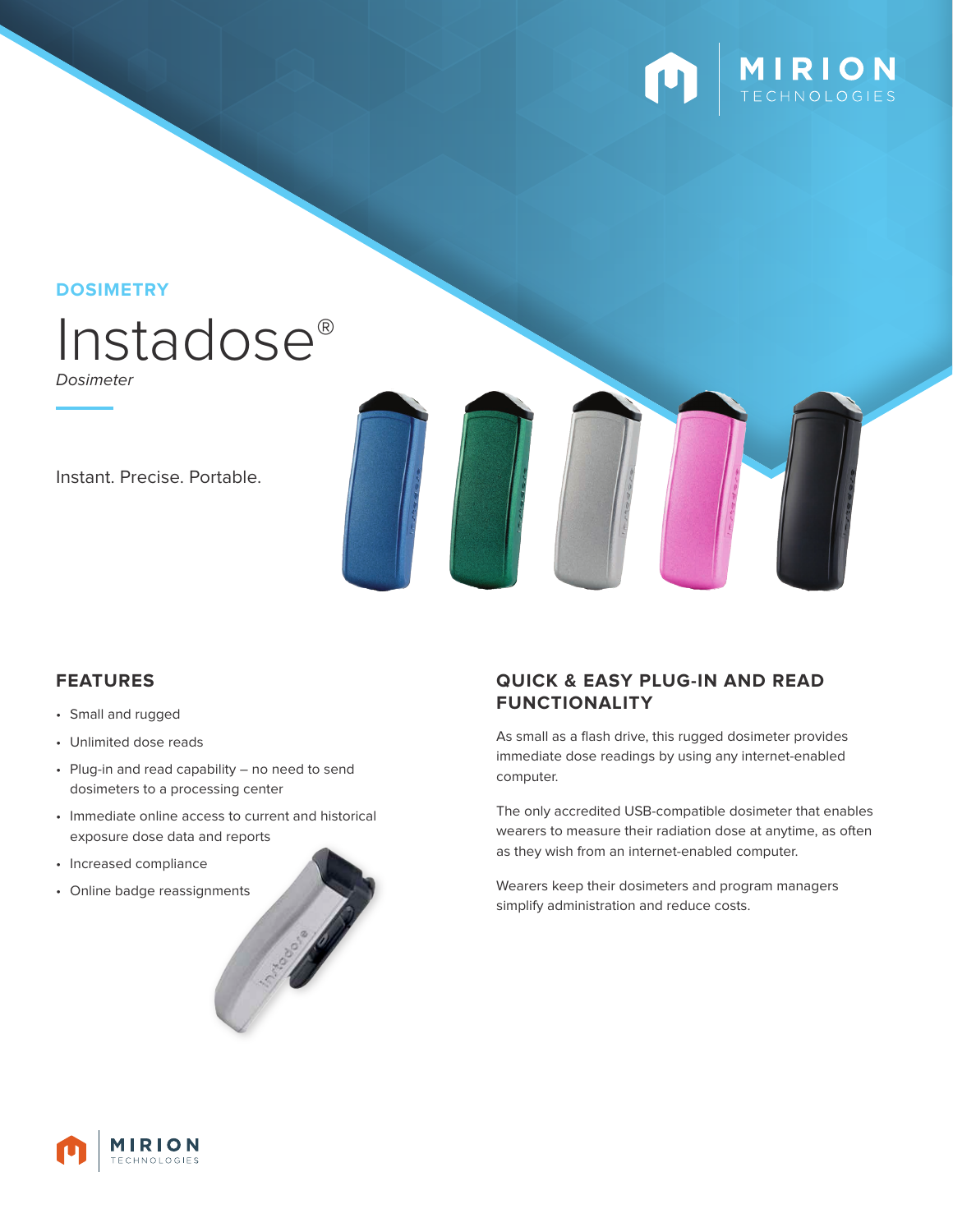

**DOSIMETRY**



Dosimeter

Instant. Precise. Portable.

- Small and rugged
- Unlimited dose reads
- Plug-in and read capability no need to send dosimeters to a processing center
- Immediate online access to current and historical exposure dose data and reports
- Increased compliance
- Online badge reassignments



## **FEATURES QUICK & EASY PLUG-IN AND READ FUNCTIONALITY**

As small as a flash drive, this rugged dosimeter provides immediate dose readings by using any internet-enabled computer.

The only accredited USB-compatible dosimeter that enables wearers to measure their radiation dose at anytime, as often as they wish from an internet-enabled computer.

Wearers keep their dosimeters and program managers simplify administration and reduce costs.